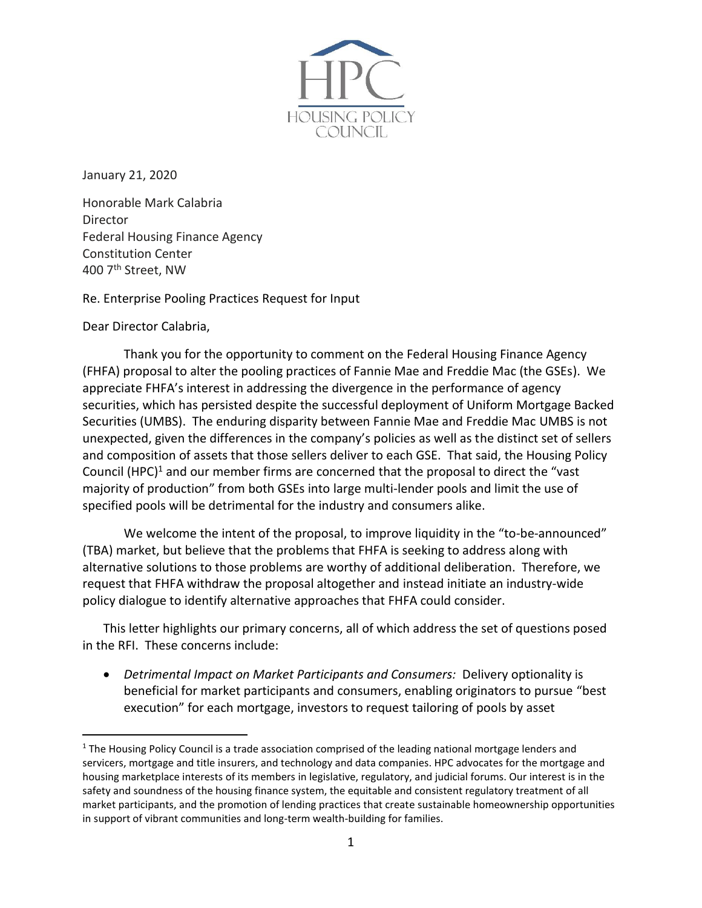

January 21, 2020

Honorable Mark Calabria Director Federal Housing Finance Agency Constitution Center 400 7th Street, NW

Re. Enterprise Pooling Practices Request for Input

Dear Director Calabria,

Thank you for the opportunity to comment on the Federal Housing Finance Agency (FHFA) proposal to alter the pooling practices of Fannie Mae and Freddie Mac (the GSEs). We appreciate FHFA's interest in addressing the divergence in the performance of agency securities, which has persisted despite the successful deployment of Uniform Mortgage Backed Securities (UMBS). The enduring disparity between Fannie Mae and Freddie Mac UMBS is not unexpected, given the differences in the company's policies as well as the distinct set of sellers and composition of assets that those sellers deliver to each GSE. That said, the Housing Policy Council (HPC)<sup>1</sup> and our member firms are concerned that the proposal to direct the "vast majority of production" from both GSEs into large multi-lender pools and limit the use of specified pools will be detrimental for the industry and consumers alike.

We welcome the intent of the proposal, to improve liquidity in the "to-be-announced" (TBA) market, but believe that the problems that FHFA is seeking to address along with alternative solutions to those problems are worthy of additional deliberation. Therefore, we request that FHFA withdraw the proposal altogether and instead initiate an industry-wide policy dialogue to identify alternative approaches that FHFA could consider.

This letter highlights our primary concerns, all of which address the set of questions posed in the RFI. These concerns include:

• *Detrimental Impact on Market Participants and Consumers:* Delivery optionality is beneficial for market participants and consumers, enabling originators to pursue "best execution" for each mortgage, investors to request tailoring of pools by asset

<sup>&</sup>lt;sup>1</sup> The Housing Policy Council is a trade association comprised of the leading national mortgage lenders and servicers, mortgage and title insurers, and technology and data companies. HPC advocates for the mortgage and housing marketplace interests of its members in legislative, regulatory, and judicial forums. Our interest is in the safety and soundness of the housing finance system, the equitable and consistent regulatory treatment of all market participants, and the promotion of lending practices that create sustainable homeownership opportunities in support of vibrant communities and long-term wealth-building for families.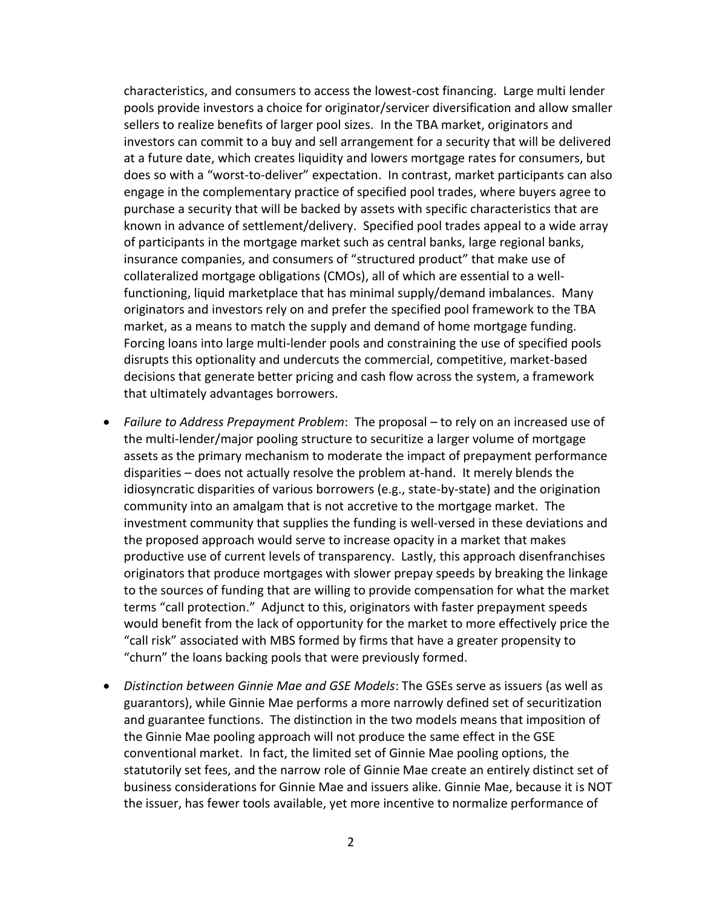characteristics, and consumers to access the lowest-cost financing. Large multi lender pools provide investors a choice for originator/servicer diversification and allow smaller sellers to realize benefits of larger pool sizes. In the TBA market, originators and investors can commit to a buy and sell arrangement for a security that will be delivered at a future date, which creates liquidity and lowers mortgage rates for consumers, but does so with a "worst-to-deliver" expectation. In contrast, market participants can also engage in the complementary practice of specified pool trades, where buyers agree to purchase a security that will be backed by assets with specific characteristics that are known in advance of settlement/delivery. Specified pool trades appeal to a wide array of participants in the mortgage market such as central banks, large regional banks, insurance companies, and consumers of "structured product" that make use of collateralized mortgage obligations (CMOs), all of which are essential to a wellfunctioning, liquid marketplace that has minimal supply/demand imbalances. Many originators and investors rely on and prefer the specified pool framework to the TBA market, as a means to match the supply and demand of home mortgage funding. Forcing loans into large multi-lender pools and constraining the use of specified pools disrupts this optionality and undercuts the commercial, competitive, market-based decisions that generate better pricing and cash flow across the system, a framework that ultimately advantages borrowers.

- *Failure to Address Prepayment Problem*: The proposal to rely on an increased use of the multi-lender/major pooling structure to securitize a larger volume of mortgage assets as the primary mechanism to moderate the impact of prepayment performance disparities – does not actually resolve the problem at-hand. It merely blends the idiosyncratic disparities of various borrowers (e.g., state-by-state) and the origination community into an amalgam that is not accretive to the mortgage market. The investment community that supplies the funding is well-versed in these deviations and the proposed approach would serve to increase opacity in a market that makes productive use of current levels of transparency. Lastly, this approach disenfranchises originators that produce mortgages with slower prepay speeds by breaking the linkage to the sources of funding that are willing to provide compensation for what the market terms "call protection." Adjunct to this, originators with faster prepayment speeds would benefit from the lack of opportunity for the market to more effectively price the "call risk" associated with MBS formed by firms that have a greater propensity to "churn" the loans backing pools that were previously formed.
- *Distinction between Ginnie Mae and GSE Models*: The GSEs serve as issuers (as well as guarantors), while Ginnie Mae performs a more narrowly defined set of securitization and guarantee functions. The distinction in the two models means that imposition of the Ginnie Mae pooling approach will not produce the same effect in the GSE conventional market. In fact, the limited set of Ginnie Mae pooling options, the statutorily set fees, and the narrow role of Ginnie Mae create an entirely distinct set of business considerations for Ginnie Mae and issuers alike. Ginnie Mae, because it is NOT the issuer, has fewer tools available, yet more incentive to normalize performance of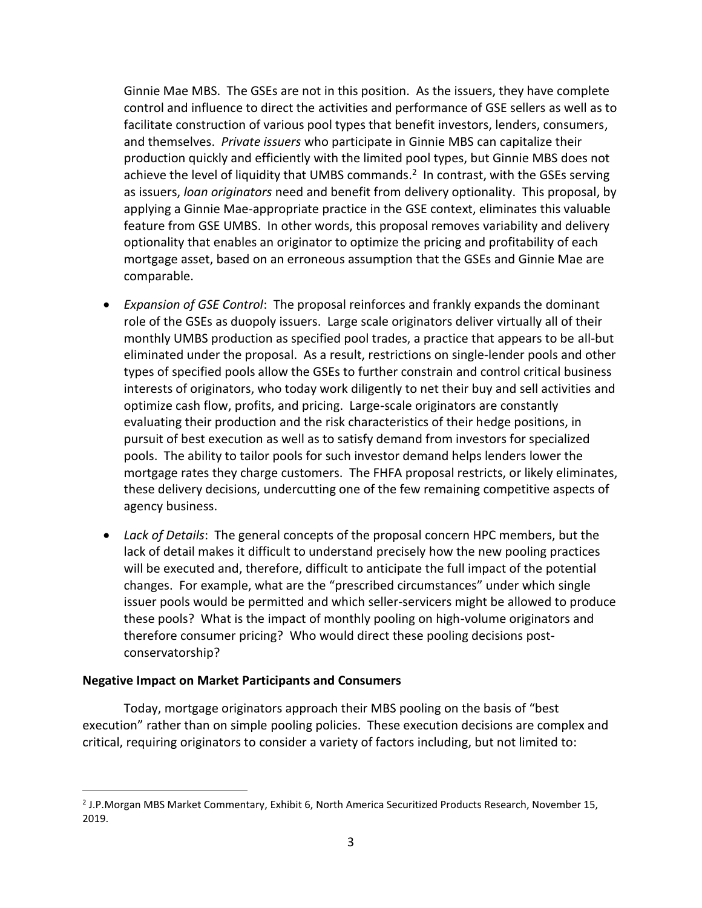Ginnie Mae MBS. The GSEs are not in this position. As the issuers, they have complete control and influence to direct the activities and performance of GSE sellers as well as to facilitate construction of various pool types that benefit investors, lenders, consumers, and themselves. *Private issuers* who participate in Ginnie MBS can capitalize their production quickly and efficiently with the limited pool types, but Ginnie MBS does not achieve the level of liquidity that UMBS commands.<sup>2</sup> In contrast, with the GSEs serving as issuers, *loan originators* need and benefit from delivery optionality. This proposal, by applying a Ginnie Mae-appropriate practice in the GSE context, eliminates this valuable feature from GSE UMBS. In other words, this proposal removes variability and delivery optionality that enables an originator to optimize the pricing and profitability of each mortgage asset, based on an erroneous assumption that the GSEs and Ginnie Mae are comparable.

- *Expansion of GSE Control*: The proposal reinforces and frankly expands the dominant role of the GSEs as duopoly issuers. Large scale originators deliver virtually all of their monthly UMBS production as specified pool trades, a practice that appears to be all-but eliminated under the proposal. As a result, restrictions on single-lender pools and other types of specified pools allow the GSEs to further constrain and control critical business interests of originators, who today work diligently to net their buy and sell activities and optimize cash flow, profits, and pricing. Large-scale originators are constantly evaluating their production and the risk characteristics of their hedge positions, in pursuit of best execution as well as to satisfy demand from investors for specialized pools. The ability to tailor pools for such investor demand helps lenders lower the mortgage rates they charge customers. The FHFA proposal restricts, or likely eliminates, these delivery decisions, undercutting one of the few remaining competitive aspects of agency business.
- *Lack of Details*: The general concepts of the proposal concern HPC members, but the lack of detail makes it difficult to understand precisely how the new pooling practices will be executed and, therefore, difficult to anticipate the full impact of the potential changes. For example, what are the "prescribed circumstances" under which single issuer pools would be permitted and which seller-servicers might be allowed to produce these pools? What is the impact of monthly pooling on high-volume originators and therefore consumer pricing? Who would direct these pooling decisions postconservatorship?

### **Negative Impact on Market Participants and Consumers**

Today, mortgage originators approach their MBS pooling on the basis of "best execution" rather than on simple pooling policies. These execution decisions are complex and critical, requiring originators to consider a variety of factors including, but not limited to:

<sup>&</sup>lt;sup>2</sup> J.P.Morgan MBS Market Commentary, Exhibit 6, North America Securitized Products Research, November 15, 2019.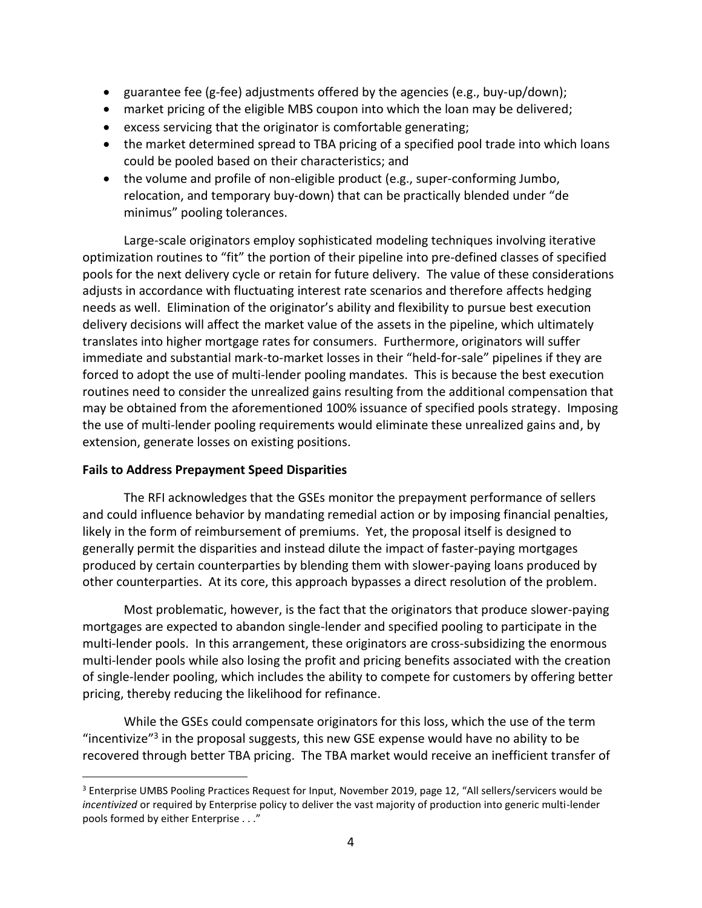- guarantee fee (g-fee) adjustments offered by the agencies (e.g., buy-up/down);
- market pricing of the eligible MBS coupon into which the loan may be delivered;
- excess servicing that the originator is comfortable generating;
- the market determined spread to TBA pricing of a specified pool trade into which loans could be pooled based on their characteristics; and
- the volume and profile of non-eligible product (e.g., super-conforming Jumbo, relocation, and temporary buy-down) that can be practically blended under "de minimus" pooling tolerances.

Large-scale originators employ sophisticated modeling techniques involving iterative optimization routines to "fit" the portion of their pipeline into pre-defined classes of specified pools for the next delivery cycle or retain for future delivery. The value of these considerations adjusts in accordance with fluctuating interest rate scenarios and therefore affects hedging needs as well. Elimination of the originator's ability and flexibility to pursue best execution delivery decisions will affect the market value of the assets in the pipeline, which ultimately translates into higher mortgage rates for consumers. Furthermore, originators will suffer immediate and substantial mark-to-market losses in their "held-for-sale" pipelines if they are forced to adopt the use of multi-lender pooling mandates. This is because the best execution routines need to consider the unrealized gains resulting from the additional compensation that may be obtained from the aforementioned 100% issuance of specified pools strategy. Imposing the use of multi-lender pooling requirements would eliminate these unrealized gains and, by extension, generate losses on existing positions.

# **Fails to Address Prepayment Speed Disparities**

The RFI acknowledges that the GSEs monitor the prepayment performance of sellers and could influence behavior by mandating remedial action or by imposing financial penalties, likely in the form of reimbursement of premiums. Yet, the proposal itself is designed to generally permit the disparities and instead dilute the impact of faster-paying mortgages produced by certain counterparties by blending them with slower-paying loans produced by other counterparties. At its core, this approach bypasses a direct resolution of the problem.

Most problematic, however, is the fact that the originators that produce slower-paying mortgages are expected to abandon single-lender and specified pooling to participate in the multi-lender pools. In this arrangement, these originators are cross-subsidizing the enormous multi-lender pools while also losing the profit and pricing benefits associated with the creation of single-lender pooling, which includes the ability to compete for customers by offering better pricing, thereby reducing the likelihood for refinance.

While the GSEs could compensate originators for this loss, which the use of the term "incentivize"<sup>3</sup> in the proposal suggests, this new GSE expense would have no ability to be recovered through better TBA pricing. The TBA market would receive an inefficient transfer of

<sup>3</sup> Enterprise UMBS Pooling Practices Request for Input, November 2019, page 12, "All sellers/servicers would be *incentivized* or required by Enterprise policy to deliver the vast majority of production into generic multi-lender pools formed by either Enterprise . . ."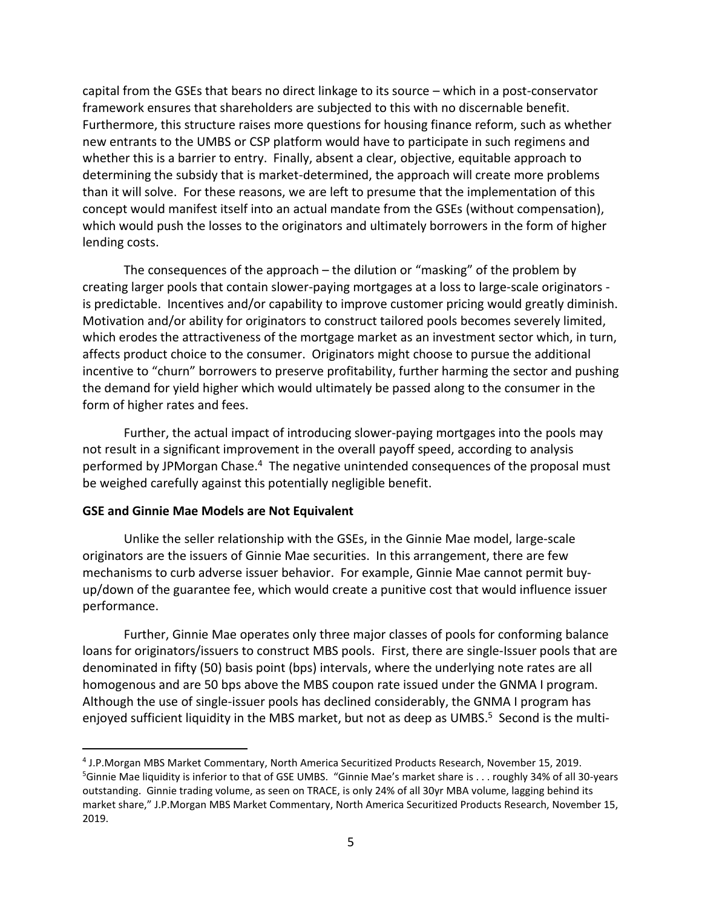capital from the GSEs that bears no direct linkage to its source – which in a post-conservator framework ensures that shareholders are subjected to this with no discernable benefit. Furthermore, this structure raises more questions for housing finance reform, such as whether new entrants to the UMBS or CSP platform would have to participate in such regimens and whether this is a barrier to entry. Finally, absent a clear, objective, equitable approach to determining the subsidy that is market-determined, the approach will create more problems than it will solve. For these reasons, we are left to presume that the implementation of this concept would manifest itself into an actual mandate from the GSEs (without compensation), which would push the losses to the originators and ultimately borrowers in the form of higher lending costs.

The consequences of the approach – the dilution or "masking" of the problem by creating larger pools that contain slower-paying mortgages at a loss to large-scale originators is predictable. Incentives and/or capability to improve customer pricing would greatly diminish. Motivation and/or ability for originators to construct tailored pools becomes severely limited, which erodes the attractiveness of the mortgage market as an investment sector which, in turn, affects product choice to the consumer. Originators might choose to pursue the additional incentive to "churn" borrowers to preserve profitability, further harming the sector and pushing the demand for yield higher which would ultimately be passed along to the consumer in the form of higher rates and fees.

Further, the actual impact of introducing slower-paying mortgages into the pools may not result in a significant improvement in the overall payoff speed, according to analysis performed by JPMorgan Chase.<sup>4</sup> The negative unintended consequences of the proposal must be weighed carefully against this potentially negligible benefit.

### **GSE and Ginnie Mae Models are Not Equivalent**

Unlike the seller relationship with the GSEs, in the Ginnie Mae model, large-scale originators are the issuers of Ginnie Mae securities. In this arrangement, there are few mechanisms to curb adverse issuer behavior. For example, Ginnie Mae cannot permit buyup/down of the guarantee fee, which would create a punitive cost that would influence issuer performance.

Further, Ginnie Mae operates only three major classes of pools for conforming balance loans for originators/issuers to construct MBS pools. First, there are single-Issuer pools that are denominated in fifty (50) basis point (bps) intervals, where the underlying note rates are all homogenous and are 50 bps above the MBS coupon rate issued under the GNMA I program. Although the use of single-issuer pools has declined considerably, the GNMA I program has enjoyed sufficient liquidity in the MBS market, but not as deep as UMBS.<sup>5</sup> Second is the multi-

<sup>4</sup> J.P.Morgan MBS Market Commentary, North America Securitized Products Research, November 15, 2019.  $5$ Ginnie Mae liquidity is inferior to that of GSE UMBS. "Ginnie Mae's market share is . . . roughly 34% of all 30-years outstanding. Ginnie trading volume, as seen on TRACE, is only 24% of all 30yr MBA volume, lagging behind its market share," J.P.Morgan MBS Market Commentary, North America Securitized Products Research, November 15, 2019.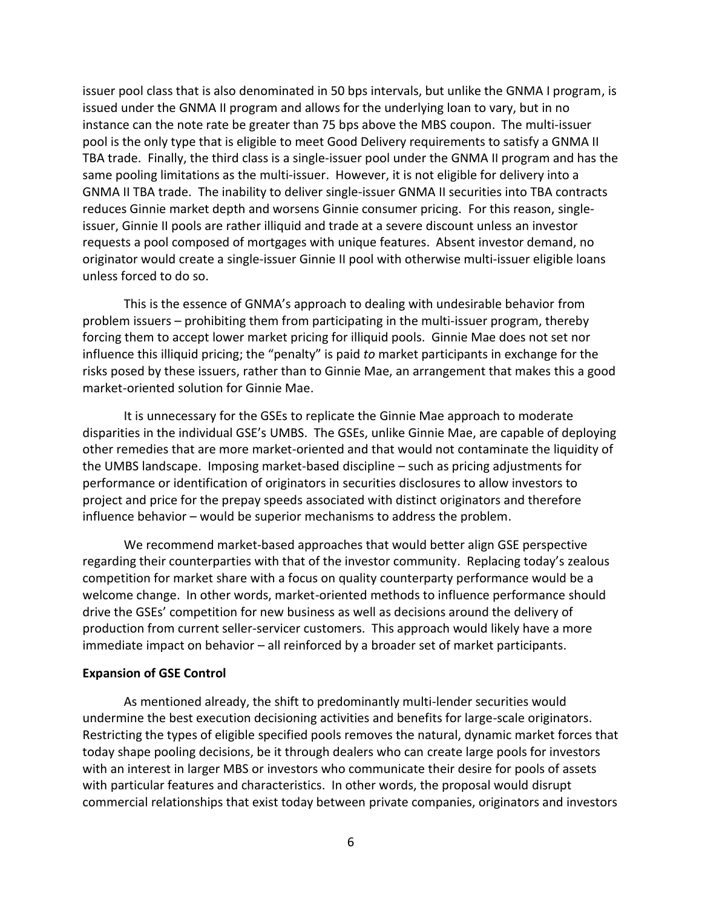issuer pool class that is also denominated in 50 bps intervals, but unlike the GNMA I program, is issued under the GNMA II program and allows for the underlying loan to vary, but in no instance can the note rate be greater than 75 bps above the MBS coupon. The multi-issuer pool is the only type that is eligible to meet Good Delivery requirements to satisfy a GNMA II TBA trade. Finally, the third class is a single-issuer pool under the GNMA II program and has the same pooling limitations as the multi-issuer. However, it is not eligible for delivery into a GNMA II TBA trade. The inability to deliver single-issuer GNMA II securities into TBA contracts reduces Ginnie market depth and worsens Ginnie consumer pricing. For this reason, singleissuer, Ginnie II pools are rather illiquid and trade at a severe discount unless an investor requests a pool composed of mortgages with unique features. Absent investor demand, no originator would create a single-issuer Ginnie II pool with otherwise multi-issuer eligible loans unless forced to do so.

This is the essence of GNMA's approach to dealing with undesirable behavior from problem issuers – prohibiting them from participating in the multi-issuer program, thereby forcing them to accept lower market pricing for illiquid pools. Ginnie Mae does not set nor influence this illiquid pricing; the "penalty" is paid *to* market participants in exchange for the risks posed by these issuers, rather than to Ginnie Mae, an arrangement that makes this a good market-oriented solution for Ginnie Mae.

It is unnecessary for the GSEs to replicate the Ginnie Mae approach to moderate disparities in the individual GSE's UMBS. The GSEs, unlike Ginnie Mae, are capable of deploying other remedies that are more market-oriented and that would not contaminate the liquidity of the UMBS landscape. Imposing market-based discipline – such as pricing adjustments for performance or identification of originators in securities disclosures to allow investors to project and price for the prepay speeds associated with distinct originators and therefore influence behavior – would be superior mechanisms to address the problem.

We recommend market-based approaches that would better align GSE perspective regarding their counterparties with that of the investor community. Replacing today's zealous competition for market share with a focus on quality counterparty performance would be a welcome change. In other words, market-oriented methods to influence performance should drive the GSEs' competition for new business as well as decisions around the delivery of production from current seller-servicer customers. This approach would likely have a more immediate impact on behavior – all reinforced by a broader set of market participants.

#### **Expansion of GSE Control**

As mentioned already, the shift to predominantly multi-lender securities would undermine the best execution decisioning activities and benefits for large-scale originators. Restricting the types of eligible specified pools removes the natural, dynamic market forces that today shape pooling decisions, be it through dealers who can create large pools for investors with an interest in larger MBS or investors who communicate their desire for pools of assets with particular features and characteristics. In other words, the proposal would disrupt commercial relationships that exist today between private companies, originators and investors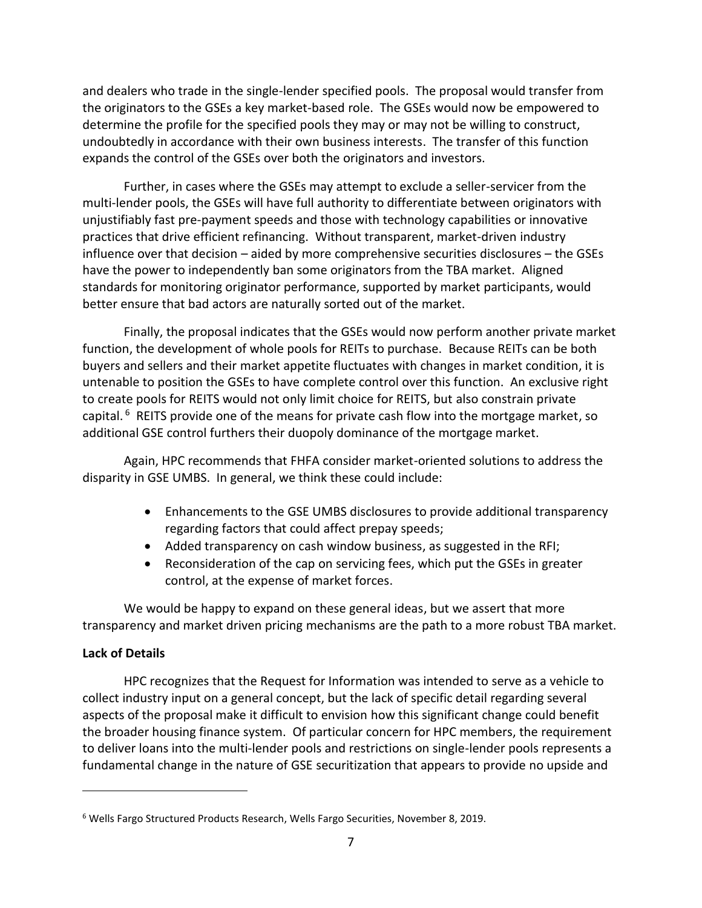and dealers who trade in the single-lender specified pools. The proposal would transfer from the originators to the GSEs a key market-based role. The GSEs would now be empowered to determine the profile for the specified pools they may or may not be willing to construct, undoubtedly in accordance with their own business interests. The transfer of this function expands the control of the GSEs over both the originators and investors.

Further, in cases where the GSEs may attempt to exclude a seller-servicer from the multi-lender pools, the GSEs will have full authority to differentiate between originators with unjustifiably fast pre-payment speeds and those with technology capabilities or innovative practices that drive efficient refinancing. Without transparent, market-driven industry influence over that decision – aided by more comprehensive securities disclosures – the GSEs have the power to independently ban some originators from the TBA market. Aligned standards for monitoring originator performance, supported by market participants, would better ensure that bad actors are naturally sorted out of the market.

Finally, the proposal indicates that the GSEs would now perform another private market function, the development of whole pools for REITs to purchase. Because REITs can be both buyers and sellers and their market appetite fluctuates with changes in market condition, it is untenable to position the GSEs to have complete control over this function. An exclusive right to create pools for REITS would not only limit choice for REITS, but also constrain private capital. <sup>6</sup> REITS provide one of the means for private cash flow into the mortgage market, so additional GSE control furthers their duopoly dominance of the mortgage market.

Again, HPC recommends that FHFA consider market-oriented solutions to address the disparity in GSE UMBS. In general, we think these could include:

- Enhancements to the GSE UMBS disclosures to provide additional transparency regarding factors that could affect prepay speeds;
- Added transparency on cash window business, as suggested in the RFI;
- Reconsideration of the cap on servicing fees, which put the GSEs in greater control, at the expense of market forces.

We would be happy to expand on these general ideas, but we assert that more transparency and market driven pricing mechanisms are the path to a more robust TBA market.

# **Lack of Details**

HPC recognizes that the Request for Information was intended to serve as a vehicle to collect industry input on a general concept, but the lack of specific detail regarding several aspects of the proposal make it difficult to envision how this significant change could benefit the broader housing finance system. Of particular concern for HPC members, the requirement to deliver loans into the multi-lender pools and restrictions on single-lender pools represents a fundamental change in the nature of GSE securitization that appears to provide no upside and

<sup>&</sup>lt;sup>6</sup> Wells Fargo Structured Products Research, Wells Fargo Securities, November 8, 2019.